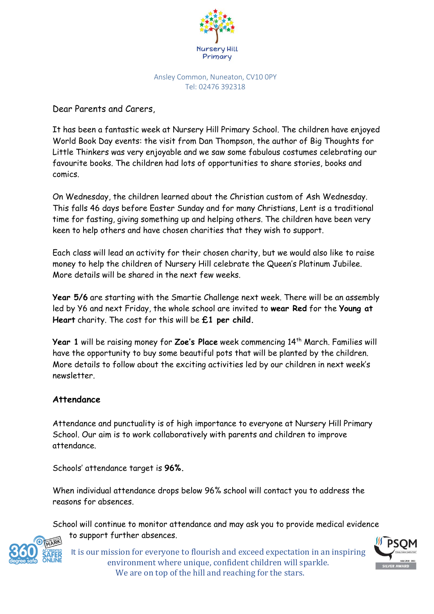

Ansley Common, Nuneaton, CV10 0PY Tel: 02476 392318

Dear Parents and Carers,

It has been a fantastic week at Nursery Hill Primary School. The children have enjoyed World Book Day events: the visit from Dan Thompson, the author of Big Thoughts for Little Thinkers was very enjoyable and we saw some fabulous costumes celebrating our favourite books. The children had lots of opportunities to share stories, books and comics.

On Wednesday, the children learned about the Christian custom of Ash Wednesday. This falls 46 days before Easter Sunday and for many Christians, Lent is a traditional time for fasting, giving something up and helping others. The children have been very keen to help others and have chosen charities that they wish to support.

Each class will lead an activity for their chosen charity, but we would also like to raise money to help the children of Nursery Hill celebrate the Queen's Platinum Jubilee. More details will be shared in the next few weeks.

**Year 5/6** are starting with the Smartie Challenge next week. There will be an assembly led by Y6 and next Friday, the whole school are invited to **wear Red** for the **Young at Heart** charity. The cost for this will be **£1 per child.**

Year 1 will be raising money for Zoe's Place week commencing 14<sup>th</sup> March. Families will have the opportunity to buy some beautiful pots that will be planted by the children. More details to follow about the exciting activities led by our children in next week's newsletter.

## **Attendance**

Attendance and punctuality is of high importance to everyone at Nursery Hill Primary School. Our aim is to work collaboratively with parents and children to improve attendance.

Schools' attendance target is **96%.**

When individual attendance drops below 96% school will contact you to address the reasons for absences.

School will continue to monitor attendance and may ask you to provide medical evidence to support further absences.



It is our mission for everyone to flourish and exceed expectation in an inspiring environment where unique, confident children will sparkle. We are on top of the hill and reaching for the stars.